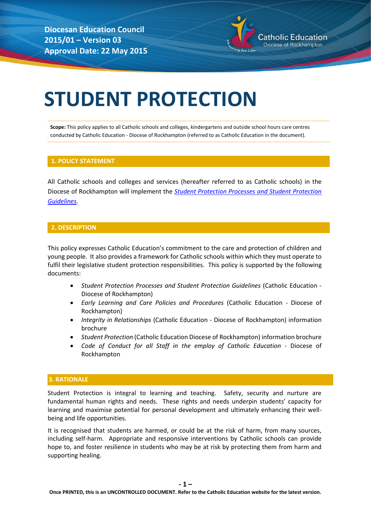**Diocesan Education Council 2015/01 – Version 03 Approval Date: 22 May 2015**



# **STUDENT PROTECTION**

**Scope:** This policy applies to all Catholic schools and colleges, kindergartens and outside school hours care centres conducted by Catholic Education - Diocese of Rockhampton (referred to as Catholic Education in the document).

## **1. POLICY STATEMENT**

All Catholic schools and colleges and services (hereafter referred to as Catholic schools) in the Diocese of Rockhampton will implement the *[Student Protection Processes and Student Protection](http://www.rok.catholic.edu.au/wp-content/uploads/Rockhampton-Catholic-Education-Student-Protection-Processes-and-Guidelines.pdf)  [Guidelines](http://www.rok.catholic.edu.au/wp-content/uploads/Rockhampton-Catholic-Education-Student-Protection-Processes-and-Guidelines.pdf)*.

# **2. DESCRIPTION**

This policy expresses Catholic Education's commitment to the care and protection of children and young people. It also provides a framework for Catholic schools within which they must operate to fulfil their legislative student protection responsibilities. This policy is supported by the following documents:

- *Student Protection Processes and Student Protection Guidelines* (Catholic Education Diocese of Rockhampton)
- *Early Learning and Care Policies and Procedures* (Catholic Education Diocese of Rockhampton)
- *Integrity in Relationships* (Catholic Education Diocese of Rockhampton) information brochure
- *Student Protection* (Catholic Education Diocese of Rockhampton) information brochure
- *Code of Conduct for all Staff in the employ of Catholic Education* Diocese of Rockhampton

### **3. RATIONALE**

Student Protection is integral to learning and teaching. Safety, security and nurture are fundamental human rights and needs. These rights and needs underpin students' capacity for learning and maximise potential for personal development and ultimately enhancing their wellbeing and life opportunities.

It is recognised that students are harmed, or could be at the risk of harm, from many sources, including self-harm. Appropriate and responsive interventions by Catholic schools can provide hope to, and foster resilience in students who may be at risk by protecting them from harm and supporting healing.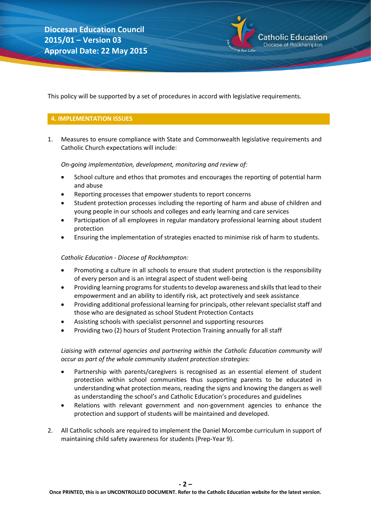atholic Education Diocese of Rockhampton

This policy will be supported by a set of procedures in accord with legislative requirements.

# **4. IMPLEMENTATION ISSUES**

1. Measures to ensure compliance with State and Commonwealth legislative requirements and Catholic Church expectations will include:

## *On-going implementation, development, monitoring and review of:*

- School culture and ethos that promotes and encourages the reporting of potential harm and abuse
- Reporting processes that empower students to report concerns
- Student protection processes including the reporting of harm and abuse of children and young people in our schools and colleges and early learning and care services
- Participation of all employees in regular mandatory professional learning about student protection
- Ensuring the implementation of strategies enacted to minimise risk of harm to students.

# *Catholic Education - Diocese of Rockhampton:*

- Promoting a culture in all schools to ensure that student protection is the responsibility of every person and is an integral aspect of student well-being
- Providing learning programs for students to develop awareness and skills that lead to their empowerment and an ability to identify risk, act protectively and seek assistance
- Providing additional professional learning for principals, other relevant specialist staff and those who are designated as school Student Protection Contacts
- Assisting schools with specialist personnel and supporting resources
- Providing two (2) hours of Student Protection Training annually for all staff

# *Liaising with external agencies and partnering within the Catholic Education community will occur as part of the whole community student protection strategies:*

- Partnership with parents/caregivers is recognised as an essential element of student protection within school communities thus supporting parents to be educated in understanding what protection means, reading the signs and knowing the dangers as well as understanding the school's and Catholic Education's procedures and guidelines
- Relations with relevant government and non-government agencies to enhance the protection and support of students will be maintained and developed.
- 2. All Catholic schools are required to implement the Daniel Morcombe curriculum in support of maintaining child safety awareness for students (Prep-Year 9).